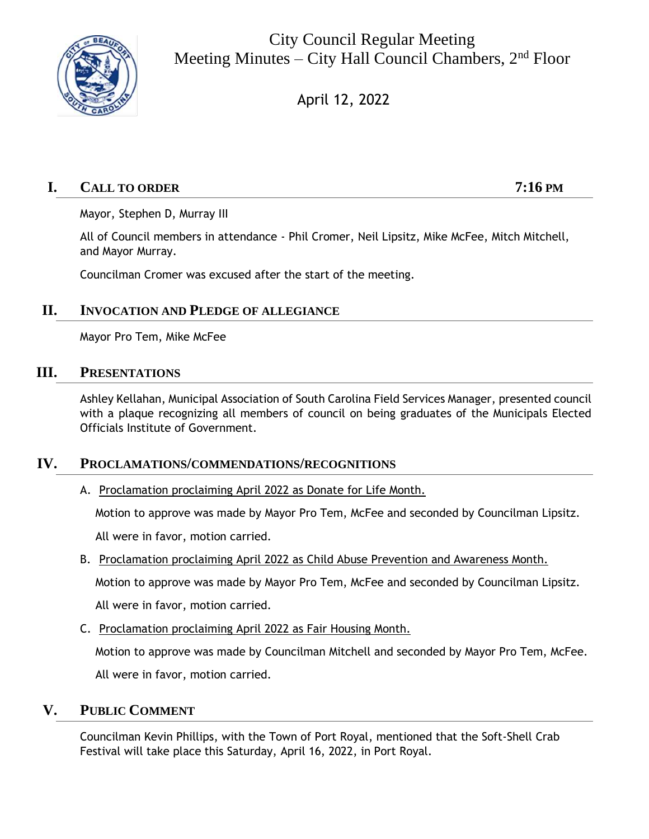

City Council Regular Meeting Meeting Minutes – City Hall Council Chambers, 2<sup>nd</sup> Floor

April 12, 2022

# **I. CALL TO ORDER 7:16 PM**

Mayor, Stephen D, Murray III

All of Council members in attendance - Phil Cromer, Neil Lipsitz, Mike McFee, Mitch Mitchell, and Mayor Murray.

Councilman Cromer was excused after the start of the meeting.

## **II. INVOCATION AND PLEDGE OF ALLEGIANCE**

Mayor Pro Tem, Mike McFee

## **III. PRESENTATIONS**

Ashley Kellahan, Municipal Association of South Carolina Field Services Manager, presented council with a plaque recognizing all members of council on being graduates of the Municipals Elected Officials Institute of Government.

## **IV. PROCLAMATIONS/COMMENDATIONS/RECOGNITIONS**

A. Proclamation proclaiming April 2022 as Donate for Life Month.

Motion to approve was made by Mayor Pro Tem, McFee and seconded by Councilman Lipsitz.

All were in favor, motion carried.

B. Proclamation proclaiming April 2022 as Child Abuse Prevention and Awareness Month.

Motion to approve was made by Mayor Pro Tem, McFee and seconded by Councilman Lipsitz.

All were in favor, motion carried.

C. Proclamation proclaiming April 2022 as Fair Housing Month.

Motion to approve was made by Councilman Mitchell and seconded by Mayor Pro Tem, McFee. All were in favor, motion carried.

# **V. PUBLIC COMMENT**

Councilman Kevin Phillips, with the Town of Port Royal, mentioned that the Soft-Shell Crab Festival will take place this Saturday, April 16, 2022, in Port Royal.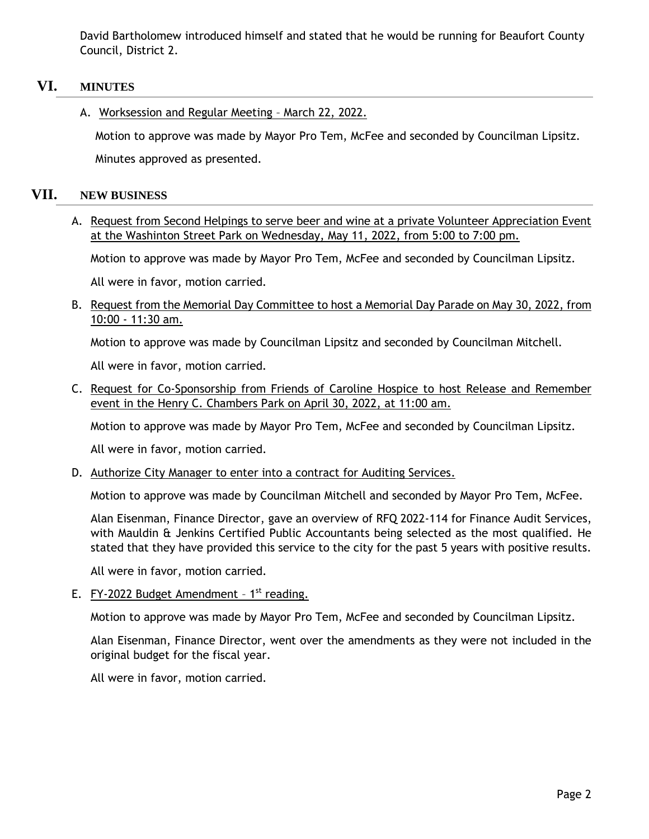David Bartholomew introduced himself and stated that he would be running for Beaufort County Council, District 2.

## **VI. MINUTES**

A. Worksession and Regular Meeting – March 22, 2022.

Motion to approve was made by Mayor Pro Tem, McFee and seconded by Councilman Lipsitz.

Minutes approved as presented.

## **VII. NEW BUSINESS**

A. Request from Second Helpings to serve beer and wine at a private Volunteer Appreciation Event at the Washinton Street Park on Wednesday, May 11, 2022, from 5:00 to 7:00 pm.

Motion to approve was made by Mayor Pro Tem, McFee and seconded by Councilman Lipsitz.

All were in favor, motion carried.

B. Request from the Memorial Day Committee to host a Memorial Day Parade on May 30, 2022, from 10:00 - 11:30 am.

Motion to approve was made by Councilman Lipsitz and seconded by Councilman Mitchell.

All were in favor, motion carried.

C. Request for Co-Sponsorship from Friends of Caroline Hospice to host Release and Remember event in the Henry C. Chambers Park on April 30, 2022, at 11:00 am.

Motion to approve was made by Mayor Pro Tem, McFee and seconded by Councilman Lipsitz.

All were in favor, motion carried.

D. Authorize City Manager to enter into a contract for Auditing Services.

Motion to approve was made by Councilman Mitchell and seconded by Mayor Pro Tem, McFee.

Alan Eisenman, Finance Director, gave an overview of RFQ 2022-114 for Finance Audit Services, with Mauldin & Jenkins Certified Public Accountants being selected as the most qualified. He stated that they have provided this service to the city for the past 5 years with positive results.

All were in favor, motion carried.

E.  $FY-2022$  Budget Amendment -  $1<sup>st</sup>$  reading.

Motion to approve was made by Mayor Pro Tem, McFee and seconded by Councilman Lipsitz.

Alan Eisenman, Finance Director, went over the amendments as they were not included in the original budget for the fiscal year.

All were in favor, motion carried.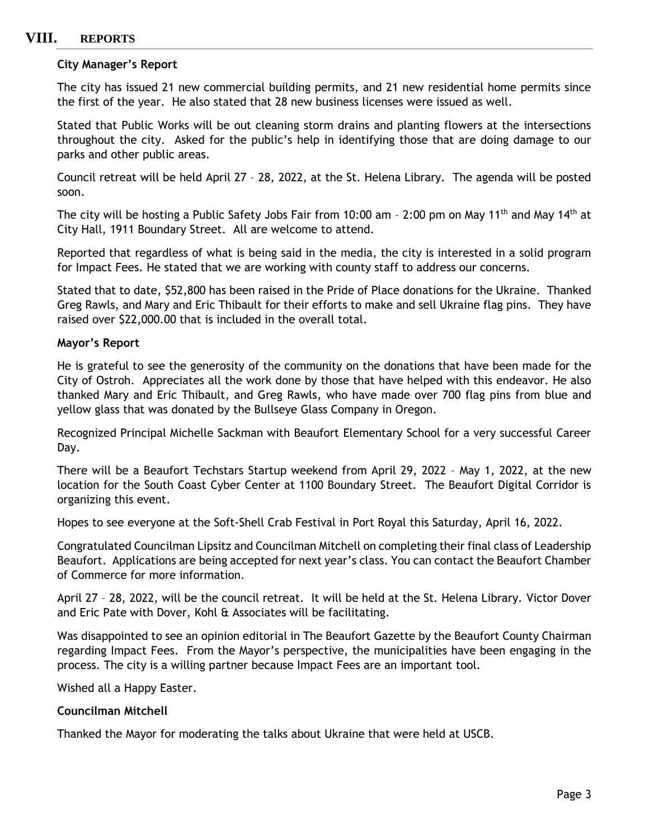# **VIII. REPORTS**

#### **City Manager's Report**

The city has issued 21 new commercial building permits, and 21 new residential home permits since the first of the year. He also stated that 28 new business licenses were issued as well.

Stated that Public Works will be out cleaning storm drains and planting flowers at the intersections throughout the city. Asked for the public's help in identifying those that are doing damage to our parks and other public areas.

Council retreat will be held April 27 – 28, 2022, at the St. Helena Library. The agenda will be posted soon.

The city will be hosting a Public Safety Jobs Fair from 10:00 am - 2:00 pm on May 11<sup>th</sup> and May 14<sup>th</sup> at City Hall, 1911 Boundary Street. All are welcome to attend.

Reported that regardless of what is being said in the media, the city is interested in a solid program for Impact Fees. He stated that we are working with county staff to address our concerns.

Stated that to date, \$52,800 has been raised in the Pride of Place donations for the Ukraine. Thanked Greg Rawls, and Mary and Eric Thibault for their efforts to make and sell Ukraine flag pins. They have raised over \$22,000.00 that is included in the overall total.

#### **Mayor's Report**

He is grateful to see the generosity of the community on the donations that have been made for the City of Ostroh. Appreciates all the work done by those that have helped with this endeavor. He also thanked Mary and Eric Thibault, and Greg Rawls, who have made over 700 flag pins from blue and yellow glass that was donated by the Bullseye Glass Company in Oregon.

Recognized Principal Michelle Sackman with Beaufort Elementary School for a very successful Career Day.

There will be a Beaufort Techstars Startup weekend from April 29, 2022 – May 1, 2022, at the new location for the South Coast Cyber Center at 1100 Boundary Street. The Beaufort Digital Corridor is organizing this event.

Hopes to see everyone at the Soft-Shell Crab Festival in Port Royal this Saturday, April 16, 2022.

Congratulated Councilman Lipsitz and Councilman Mitchell on completing their final class of Leadership Beaufort. Applications are being accepted for next year's class. You can contact the Beaufort Chamber of Commerce for more information.

April 27 – 28, 2022, will be the council retreat. It will be held at the St. Helena Library. Victor Dover and Eric Pate with Dover, Kohl & Associates will be facilitating.

Was disappointed to see an opinion editorial in The Beaufort Gazette by the Beaufort County Chairman regarding Impact Fees. From the Mayor's perspective, the municipalities have been engaging in the process. The city is a willing partner because Impact Fees are an important tool.

Wished all a Happy Easter.

#### **Councilman Mitchell**

Thanked the Mayor for moderating the talks about Ukraine that were held at USCB.